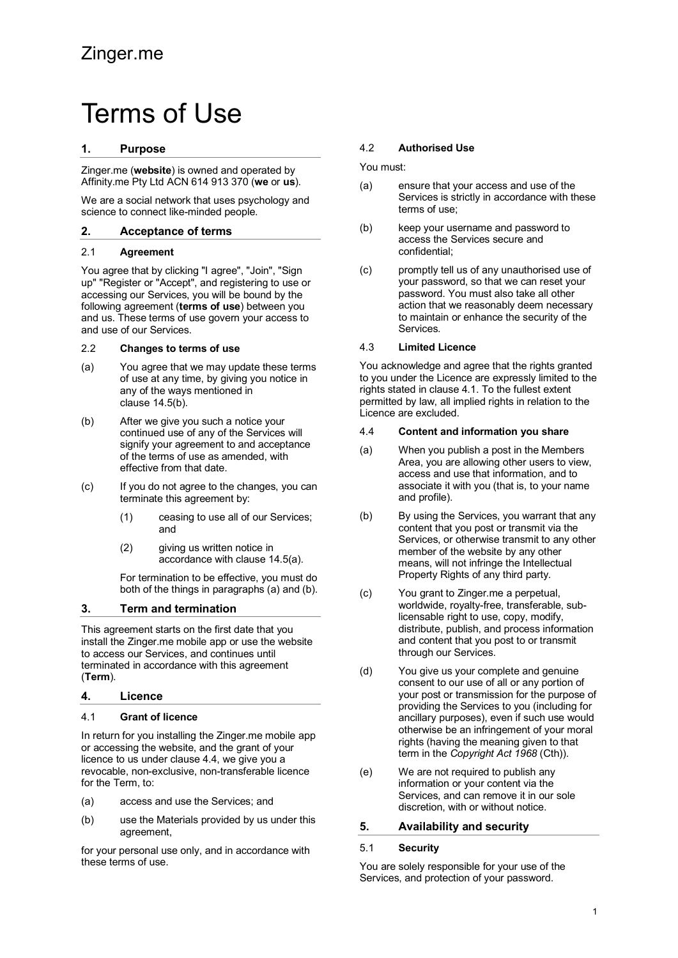# Terms of Use

# **1. Purpose**

Zinger.me (**website**) is owned and operated by Affinity.me Pty Ltd ACN 614 913 370 (**we** or **us**).

We are a social network that uses psychology and science to connect like-minded people.

#### **2. Acceptance of terms**

### 2.1 **Agreement**

You agree that by clicking "I agree", "Join", "Sign up" "Register or "Accept", and registering to use or accessing our Services, you will be bound by the following agreement (**terms of use**) between you and us. These terms of use govern your access to and use of our Services.

#### 2.2 **Changes to terms of use**

- (a) You agree that we may update these terms of use at any time, by giving you notice in any of the ways mentioned in clause 14.5(b).
- (b) After we give you such a notice your continued use of any of the Services will signify your agreement to and acceptance of the terms of use as amended, with effective from that date.
- (c) If you do not agree to the changes, you can terminate this agreement by:
	- (1) ceasing to use all of our Services; and
	- (2) giving us written notice in accordance with clause 14.5(a).

For termination to be effective, you must do both of the things in paragraphs (a) and (b).

# **3. Term and termination**

This agreement starts on the first date that you install the Zinger.me mobile app or use the website to access our Services, and continues until terminated in accordance with this agreement (**Term**).

#### **4. Licence**

#### 4.1 **Grant of licence**

In return for you installing the Zinger.me mobile app or accessing the website, and the grant of your licence to us under clause 4.4, we give you a revocable, non-exclusive, non-transferable licence for the Term, to:

- (a) access and use the Services; and
- (b) use the Materials provided by us under this agreement,

for your personal use only, and in accordance with these terms of use.

### 4.2 **Authorised Use**

You must:

- (a) ensure that your access and use of the Services is strictly in accordance with these terms of use;
- (b) keep your username and password to access the Services secure and confidential;
- (c) promptly tell us of any unauthorised use of your password, so that we can reset your password. You must also take all other action that we reasonably deem necessary to maintain or enhance the security of the Services.

### 4.3 **Limited Licence**

You acknowledge and agree that the rights granted to you under the Licence are expressly limited to the rights stated in clause 4.1. To the fullest extent permitted by law, all implied rights in relation to the Licence are excluded.

#### 4.4 **Content and information you share**

- (a) When you publish a post in the Members Area, you are allowing other users to view, access and use that information, and to associate it with you (that is, to your name and profile).
- (b) By using the Services, you warrant that any content that you post or transmit via the Services, or otherwise transmit to any other member of the website by any other means, will not infringe the Intellectual Property Rights of any third party.
- (c) You grant to Zinger.me a perpetual, worldwide, royalty-free, transferable, sublicensable right to use, copy, modify, distribute, publish, and process information and content that you post to or transmit through our Services.
- (d) You give us your complete and genuine consent to our use of all or any portion of your post or transmission for the purpose of providing the Services to you (including for ancillary purposes), even if such use would otherwise be an infringement of your moral rights (having the meaning given to that term in the *Copyright Act 1968* (Cth)).
- (e) We are not required to publish any information or your content via the Services, and can remove it in our sole discretion, with or without notice.

# **5. Availability and security**

#### 5.1 **Security**

You are solely responsible for your use of the Services, and protection of your password.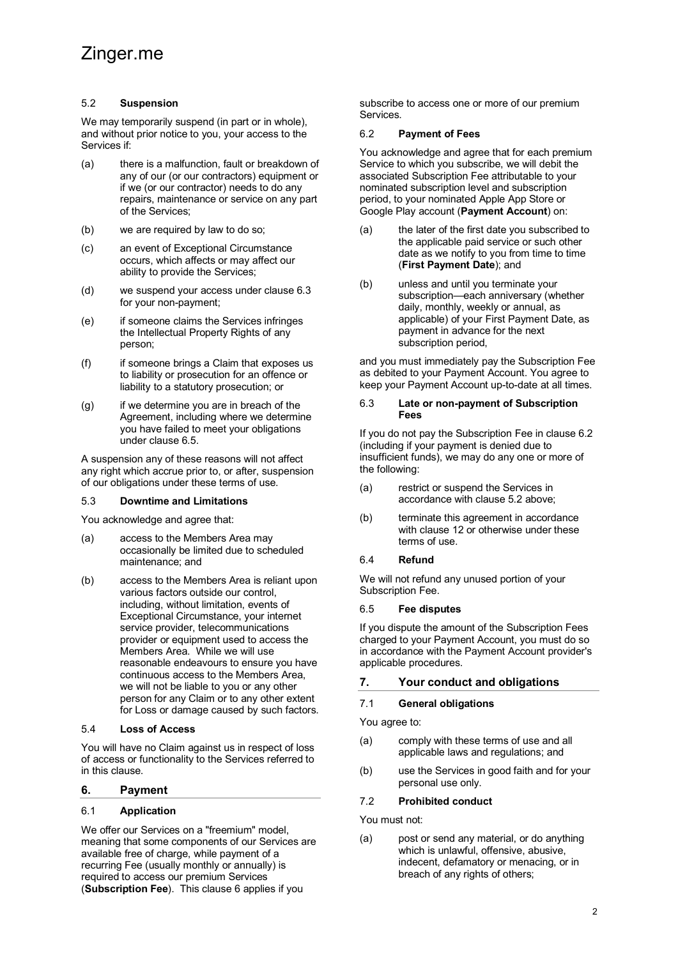# Zinger.me

#### 5.2 **Suspension**

We may temporarily suspend (in part or in whole). and without prior notice to you, your access to the Services if:

- (a) there is a malfunction, fault or breakdown of any of our (or our contractors) equipment or if we (or our contractor) needs to do any repairs, maintenance or service on any part of the Services;
- (b) we are required by law to do so;
- (c) an event of Exceptional Circumstance occurs, which affects or may affect our ability to provide the Services;
- (d) we suspend your access under clause 6.3 for your non-payment;
- (e) if someone claims the Services infringes the Intellectual Property Rights of any person;
- (f) if someone brings a Claim that exposes us to liability or prosecution for an offence or liability to a statutory prosecution; or
- $(q)$  if we determine you are in breach of the Agreement, including where we determine you have failed to meet your obligations under clause 6.5.

A suspension any of these reasons will not affect any right which accrue prior to, or after, suspension of our obligations under these terms of use.

#### 5.3 **Downtime and Limitations**

You acknowledge and agree that:

- (a) access to the Members Area may occasionally be limited due to scheduled maintenance; and
- (b) access to the Members Area is reliant upon various factors outside our control, including, without limitation, events of Exceptional Circumstance, your internet service provider, telecommunications provider or equipment used to access the Members Area. While we will use reasonable endeavours to ensure you have continuous access to the Members Area, we will not be liable to you or any other person for any Claim or to any other extent for Loss or damage caused by such factors.

#### 5.4 **Loss of Access**

You will have no Claim against us in respect of loss of access or functionality to the Services referred to in this clause.

#### **6. Payment**

#### 6.1 **Application**

We offer our Services on a "freemium" model, meaning that some components of our Services are available free of charge, while payment of a recurring Fee (usually monthly or annually) is required to access our premium Services (**Subscription Fee**). This clause 6 applies if you

subscribe to access one or more of our premium Services.

#### 6.2 **Payment of Fees**

You acknowledge and agree that for each premium Service to which you subscribe, we will debit the associated Subscription Fee attributable to your nominated subscription level and subscription period, to your nominated Apple App Store or Google Play account (**Payment Account**) on:

- (a) the later of the first date you subscribed to the applicable paid service or such other date as we notify to you from time to time (**First Payment Date**); and
- (b) unless and until you terminate your subscription—each anniversary (whether daily, monthly, weekly or annual, as applicable) of your First Payment Date, as payment in advance for the next subscription period,

and you must immediately pay the Subscription Fee as debited to your Payment Account. You agree to keep your Payment Account up-to-date at all times.

#### 6.3 **Late or non-payment of Subscription Fees**

If you do not pay the Subscription Fee in clause 6.2 (including if your payment is denied due to insufficient funds), we may do any one or more of the following:

- (a) restrict or suspend the Services in accordance with clause 5.2 above;
- (b) terminate this agreement in accordance with clause 12 or otherwise under these terms of use.

#### 6.4 **Refund**

We will not refund any unused portion of your Subscription Fee.

#### 6.5 **Fee disputes**

If you dispute the amount of the Subscription Fees charged to your Payment Account, you must do so in accordance with the Payment Account provider's applicable procedures.

# **7. Your conduct and obligations**

#### 7.1 **General obligations**

You agree to:

- (a) comply with these terms of use and all applicable laws and regulations; and
- (b) use the Services in good faith and for your personal use only.

#### 7.2 **Prohibited conduct**

You must not:

(a) post or send any material, or do anything which is unlawful, offensive, abusive, indecent, defamatory or menacing, or in breach of any rights of others;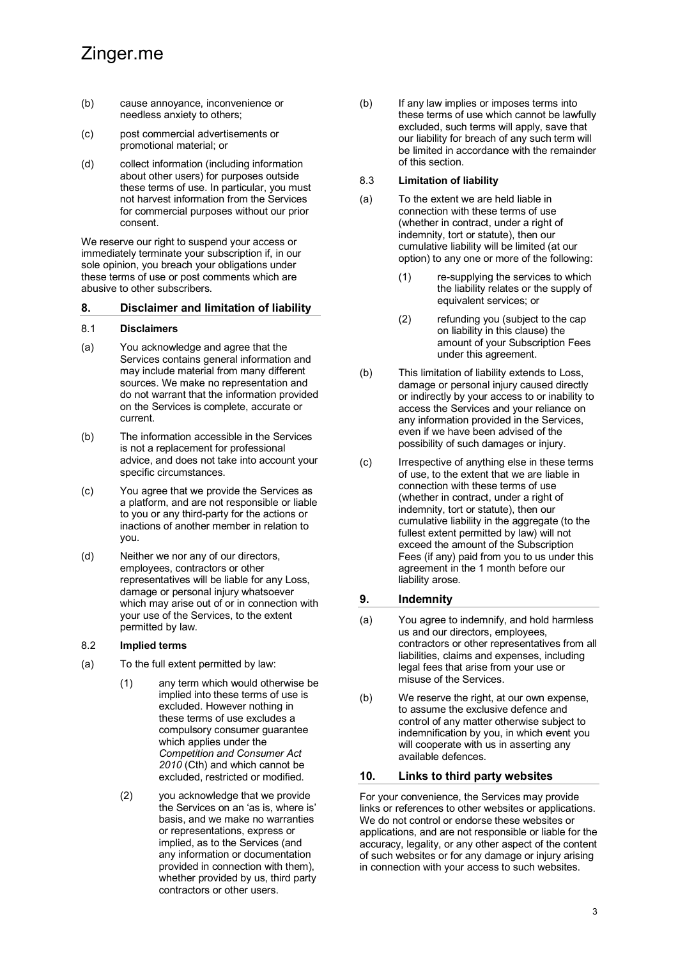- (b) cause annoyance, inconvenience or needless anxiety to others;
- (c) post commercial advertisements or promotional material; or
- (d) collect information (including information about other users) for purposes outside these terms of use. In particular, you must not harvest information from the Services for commercial purposes without our prior consent.

We reserve our right to suspend your access or immediately terminate your subscription if, in our sole opinion, you breach your obligations under these terms of use or post comments which are abusive to other subscribers.

#### **8. Disclaimer and limitation of liability**

#### 8.1 **Disclaimers**

- (a) You acknowledge and agree that the Services contains general information and may include material from many different sources. We make no representation and do not warrant that the information provided on the Services is complete, accurate or current.
- (b) The information accessible in the Services is not a replacement for professional advice, and does not take into account your specific circumstances.
- (c) You agree that we provide the Services as a platform, and are not responsible or liable to you or any third-party for the actions or inactions of another member in relation to you.
- (d) Neither we nor any of our directors, employees, contractors or other representatives will be liable for any Loss, damage or personal injury whatsoever which may arise out of or in connection with your use of the Services, to the extent permitted by law.

#### 8.2 **Implied terms**

- (a) To the full extent permitted by law:
	- (1) any term which would otherwise be implied into these terms of use is excluded. However nothing in these terms of use excludes a compulsory consumer guarantee which applies under the *Competition and Consumer Act 2010* (Cth) and which cannot be excluded, restricted or modified.
	- (2) you acknowledge that we provide the Services on an 'as is, where is' basis, and we make no warranties or representations, express or implied, as to the Services (and any information or documentation provided in connection with them), whether provided by us, third party contractors or other users.

(b) If any law implies or imposes terms into these terms of use which cannot be lawfully excluded, such terms will apply, save that our liability for breach of any such term will be limited in accordance with the remainder of this section.

#### 8.3 **Limitation of liability**

- (a) To the extent we are held liable in connection with these terms of use (whether in contract, under a right of indemnity, tort or statute), then our cumulative liability will be limited (at our option) to any one or more of the following:
	- (1) re-supplying the services to which the liability relates or the supply of equivalent services; or
	- (2) refunding you (subject to the cap on liability in this clause) the amount of your Subscription Fees under this agreement.
- (b) This limitation of liability extends to Loss, damage or personal injury caused directly or indirectly by your access to or inability to access the Services and your reliance on any information provided in the Services, even if we have been advised of the possibility of such damages or injury.
- (c) Irrespective of anything else in these terms of use, to the extent that we are liable in connection with these terms of use (whether in contract, under a right of indemnity, tort or statute), then our cumulative liability in the aggregate (to the fullest extent permitted by law) will not exceed the amount of the Subscription Fees (if any) paid from you to us under this agreement in the 1 month before our liability arose.

#### **9. Indemnity**

- (a) You agree to indemnify, and hold harmless us and our directors, employees, contractors or other representatives from all liabilities, claims and expenses, including legal fees that arise from your use or misuse of the Services.
- (b) We reserve the right, at our own expense, to assume the exclusive defence and control of any matter otherwise subject to indemnification by you, in which event you will cooperate with us in asserting any available defences.

#### **10. Links to third party websites**

For your convenience, the Services may provide links or references to other websites or applications. We do not control or endorse these websites or applications, and are not responsible or liable for the accuracy, legality, or any other aspect of the content of such websites or for any damage or injury arising in connection with your access to such websites.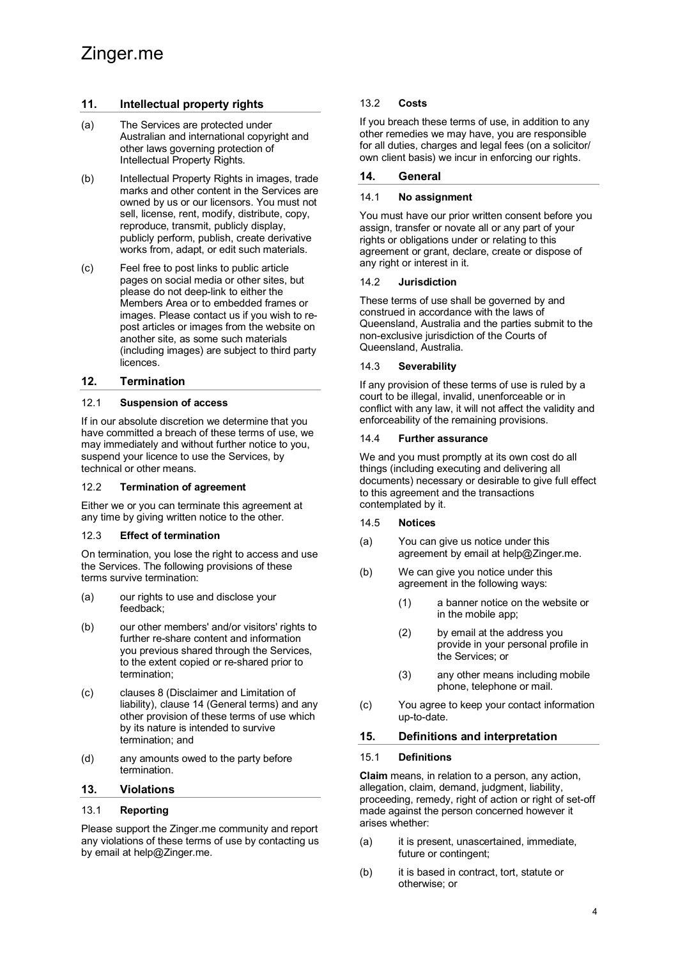# **11. Intellectual property rights**

- (a) The Services are protected under Australian and international copyright and other laws governing protection of Intellectual Property Rights.
- (b) Intellectual Property Rights in images, trade marks and other content in the Services are owned by us or our licensors. You must not sell, license, rent, modify, distribute, copy, reproduce, transmit, publicly display, publicly perform, publish, create derivative works from, adapt, or edit such materials.
- (c) Feel free to post links to public article pages on social media or other sites, but please do not deep-link to either the Members Area or to embedded frames or images. Please contact us if you wish to repost articles or images from the website on another site, as some such materials (including images) are subject to third party licences.

# **12. Termination**

#### 12.1 **Suspension of access**

If in our absolute discretion we determine that you have committed a breach of these terms of use, we may immediately and without further notice to you, suspend your licence to use the Services, by technical or other means.

#### 12.2 **Termination of agreement**

Either we or you can terminate this agreement at any time by giving written notice to the other.

#### 12.3 **Effect of termination**

On termination, you lose the right to access and use the Services. The following provisions of these terms survive termination:

- (a) our rights to use and disclose your feedback;
- (b) our other members' and/or visitors' rights to further re-share content and information you previous shared through the Services, to the extent copied or re-shared prior to termination;
- (c) clauses 8 (Disclaimer and Limitation of liability), clause 14 (General terms) and any other provision of these terms of use which by its nature is intended to survive termination; and
- (d) any amounts owed to the party before termination.

#### **13. Violations**

#### 13.1 **Reporting**

Please support the Zinger.me community and report any violations of these terms of use by contacting us by email at help@Zinger.me.

# 13.2 **Costs**

If you breach these terms of use, in addition to any other remedies we may have, you are responsible for all duties, charges and legal fees (on a solicitor/ own client basis) we incur in enforcing our rights.

# **14. General**

#### 14.1 **No assignment**

You must have our prior written consent before you assign, transfer or novate all or any part of your rights or obligations under or relating to this agreement or grant, declare, create or dispose of any right or interest in it.

#### 14.2 **Jurisdiction**

These terms of use shall be governed by and construed in accordance with the laws of Queensland, Australia and the parties submit to the non-exclusive jurisdiction of the Courts of Queensland, Australia.

#### 14.3 **Severability**

If any provision of these terms of use is ruled by a court to be illegal, invalid, unenforceable or in conflict with any law, it will not affect the validity and enforceability of the remaining provisions.

#### 14.4 **Further assurance**

We and you must promptly at its own cost do all things (including executing and delivering all documents) necessary or desirable to give full effect to this agreement and the transactions contemplated by it.

#### 14.5 **Notices**

- (a) You can give us notice under this agreement by email at help@Zinger.me.
- (b) We can give you notice under this agreement in the following ways:
	- (1) a banner notice on the website or in the mobile app;
	- (2) by email at the address you provide in your personal profile in the Services; or
	- (3) any other means including mobile phone, telephone or mail.
- (c) You agree to keep your contact information up-to-date.

#### **15. Definitions and interpretation**

#### 15.1 **Definitions**

**Claim** means, in relation to a person, any action, allegation, claim, demand, judgment, liability, proceeding, remedy, right of action or right of set-off made against the person concerned however it arises whether:

- (a) it is present, unascertained, immediate, future or contingent;
- (b) it is based in contract, tort, statute or otherwise; or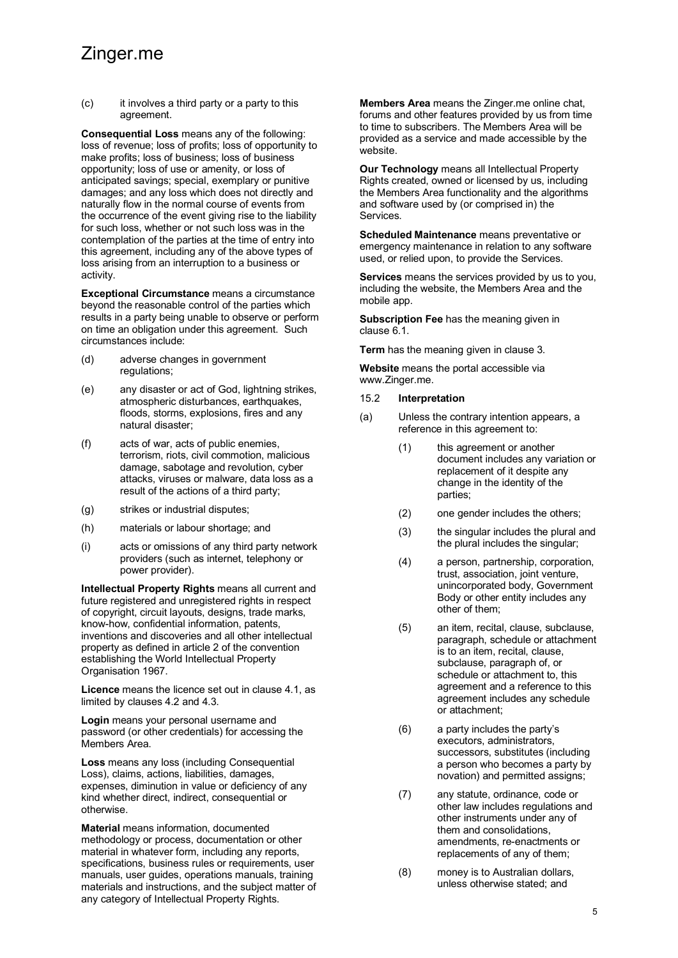# Zinger.me

(c) it involves a third party or a party to this agreement.

**Consequential Loss** means any of the following: loss of revenue; loss of profits; loss of opportunity to make profits; loss of business; loss of business opportunity; loss of use or amenity, or loss of anticipated savings; special, exemplary or punitive damages; and any loss which does not directly and naturally flow in the normal course of events from the occurrence of the event giving rise to the liability for such loss, whether or not such loss was in the contemplation of the parties at the time of entry into this agreement, including any of the above types of loss arising from an interruption to a business or activity.

**Exceptional Circumstance** means a circumstance beyond the reasonable control of the parties which results in a party being unable to observe or perform on time an obligation under this agreement. Such circumstances include:

- (d) adverse changes in government regulations;
- (e) any disaster or act of God, lightning strikes, atmospheric disturbances, earthquakes, floods, storms, explosions, fires and any natural disaster;
- (f) acts of war, acts of public enemies, terrorism, riots, civil commotion, malicious damage, sabotage and revolution, cyber attacks, viruses or malware, data loss as a result of the actions of a third party;
- (g) strikes or industrial disputes;
- (h) materials or labour shortage; and
- (i) acts or omissions of any third party network providers (such as internet, telephony or power provider).

**Intellectual Property Rights** means all current and future registered and unregistered rights in respect of copyright, circuit layouts, designs, trade marks, know-how, confidential information, patents, inventions and discoveries and all other intellectual property as defined in article 2 of the convention establishing the World Intellectual Property Organisation 1967.

**Licence** means the licence set out in clause 4.1, as limited by clauses 4.2 and 4.3.

**Login** means your personal username and password (or other credentials) for accessing the Members Area.

**Loss** means any loss (including Consequential Loss), claims, actions, liabilities, damages, expenses, diminution in value or deficiency of any kind whether direct, indirect, consequential or otherwise.

**Material** means information, documented methodology or process, documentation or other material in whatever form, including any reports, specifications, business rules or requirements, user manuals, user guides, operations manuals, training materials and instructions, and the subject matter of any category of Intellectual Property Rights.

**Members Area** means the Zinger.me online chat, forums and other features provided by us from time to time to subscribers. The Members Area will be provided as a service and made accessible by the website.

**Our Technology** means all Intellectual Property Rights created, owned or licensed by us, including the Members Area functionality and the algorithms and software used by (or comprised in) the Services.

**Scheduled Maintenance** means preventative or emergency maintenance in relation to any software used, or relied upon, to provide the Services.

**Services** means the services provided by us to you, including the website, the Members Area and the mobile app.

**Subscription Fee** has the meaning given in clause 6.1.

**Term** has the meaning given in clause 3.

**Website** means the portal accessible via www.Zinger.me.

#### 15.2 **Interpretation**

- (a) Unless the contrary intention appears, a reference in this agreement to:
	- (1) this agreement or another document includes any variation or replacement of it despite any change in the identity of the parties;
	- (2) one gender includes the others;
	- (3) the singular includes the plural and the plural includes the singular;
	- (4) a person, partnership, corporation, trust, association, joint venture, unincorporated body, Government Body or other entity includes any other of them;
	- (5) an item, recital, clause, subclause, paragraph, schedule or attachment is to an item, recital, clause, subclause, paragraph of, or schedule or attachment to, this agreement and a reference to this agreement includes any schedule or attachment;
	- (6) a party includes the party's executors, administrators, successors, substitutes (including a person who becomes a party by novation) and permitted assigns;
	- (7) any statute, ordinance, code or other law includes regulations and other instruments under any of them and consolidations, amendments, re-enactments or replacements of any of them;
	- (8) money is to Australian dollars, unless otherwise stated; and